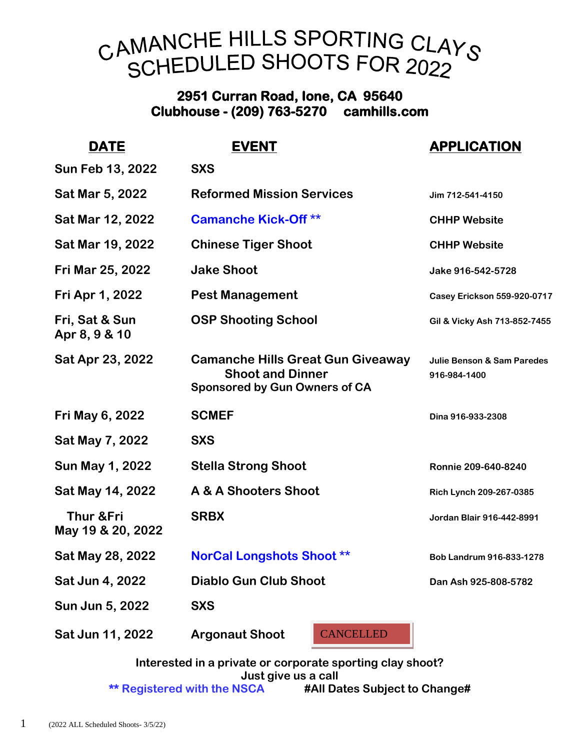## CAMANCHE HILLS SPORTING CLAYS SCHEDULED SHOOTS FOR 2022

## **2951 Curran Road, Ione, CA 95640 Clubhouse - (209) 763-5270 camhills.com**

| <b>EVENT</b>                                                                                                | <b>APPLICATION</b>                                    |
|-------------------------------------------------------------------------------------------------------------|-------------------------------------------------------|
| <b>SXS</b>                                                                                                  |                                                       |
| <b>Reformed Mission Services</b>                                                                            | Jim 712-541-4150                                      |
| <b>Camanche Kick-Off **</b>                                                                                 | <b>CHHP Website</b>                                   |
| <b>Chinese Tiger Shoot</b>                                                                                  | <b>CHHP Website</b>                                   |
| <b>Jake Shoot</b>                                                                                           | Jake 916-542-5728                                     |
| <b>Pest Management</b>                                                                                      | <b>Casey Erickson 559-920-0717</b>                    |
| <b>OSP Shooting School</b>                                                                                  | Gil & Vicky Ash 713-852-7455                          |
| <b>Camanche Hills Great Gun Giveaway</b><br><b>Shoot and Dinner</b><br><b>Sponsored by Gun Owners of CA</b> | <b>Julie Benson &amp; Sam Paredes</b><br>916-984-1400 |
| <b>SCMEF</b>                                                                                                | Dina 916-933-2308                                     |
| <b>SXS</b>                                                                                                  |                                                       |
| <b>Stella Strong Shoot</b>                                                                                  | Ronnie 209-640-8240                                   |
| A & A Shooters Shoot                                                                                        | Rich Lynch 209-267-0385                               |
| <b>SRBX</b>                                                                                                 | Jordan Blair 916-442-8991                             |
| <b>NorCal Longshots Shoot **</b>                                                                            | Bob Landrum 916-833-1278                              |
| <b>Diablo Gun Club Shoot</b>                                                                                | Dan Ash 925-808-5782                                  |
| <b>SXS</b>                                                                                                  |                                                       |
| <b>Argonaut Shoot</b><br><b>CANCELLED</b>                                                                   |                                                       |
|                                                                                                             |                                                       |

**Interested in a private or corporate sporting clay shoot? Just give us a call \*\* Registered with the NSCA #All Dates Subject to Change#**